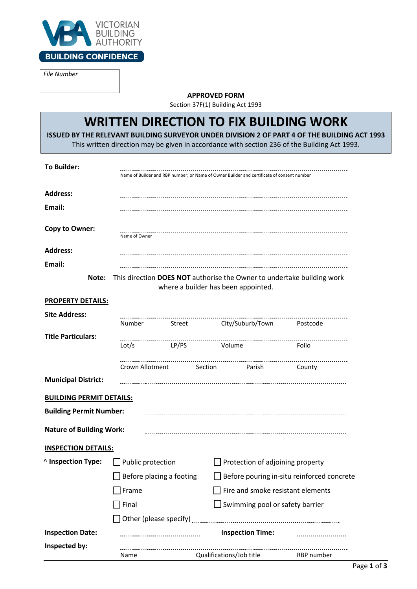

*File Number*

**APPROVED FORM**

Section 37F(1) Building Act 1993

# **WRITTEN DIRECTION TO FIX BUILDING WORK**

**ISSUED BY THE RELEVANT BUILDING SURVEYOR UNDER DIVISION 2 OF PART 4 OF THE BUILDING ACT 1993**

This written direction may be given in accordance with section 236 of the Building Act 1993.

| <b>To Builder:</b>                                                                                                     | Name of Builder and RBP number; or Name of Owner Builder and certificate of consent number |                                                          |                                                                      |                                |  |  |  |
|------------------------------------------------------------------------------------------------------------------------|--------------------------------------------------------------------------------------------|----------------------------------------------------------|----------------------------------------------------------------------|--------------------------------|--|--|--|
| <b>Address:</b>                                                                                                        |                                                                                            |                                                          |                                                                      |                                |  |  |  |
| Email:                                                                                                                 |                                                                                            |                                                          |                                                                      |                                |  |  |  |
| <b>Copy to Owner:</b>                                                                                                  | Name of Owner                                                                              |                                                          |                                                                      |                                |  |  |  |
| <b>Address:</b>                                                                                                        |                                                                                            |                                                          |                                                                      |                                |  |  |  |
| Email:                                                                                                                 |                                                                                            |                                                          |                                                                      |                                |  |  |  |
| This direction DOES NOT authorise the Owner to undertake building work<br>Note:<br>where a builder has been appointed. |                                                                                            |                                                          |                                                                      |                                |  |  |  |
| <b>PROPERTY DETAILS:</b>                                                                                               |                                                                                            |                                                          |                                                                      |                                |  |  |  |
| <b>Site Address:</b>                                                                                                   |                                                                                            |                                                          |                                                                      |                                |  |  |  |
|                                                                                                                        | Number                                                                                     | Street                                                   | City/Suburb/Town                                                     | ------------------<br>Postcode |  |  |  |
| <b>Title Particulars:</b>                                                                                              |                                                                                            |                                                          |                                                                      |                                |  |  |  |
|                                                                                                                        | Lot/s                                                                                      | <b>LP/PS</b>                                             | Volume                                                               | Folio                          |  |  |  |
|                                                                                                                        |                                                                                            |                                                          | Crown Allotment Section Parish                                       | County                         |  |  |  |
| <b>Municipal District:</b>                                                                                             |                                                                                            |                                                          |                                                                      |                                |  |  |  |
| <b>BUILDING PERMIT DETAILS:</b>                                                                                        |                                                                                            |                                                          |                                                                      |                                |  |  |  |
| <b>Building Permit Number:</b>                                                                                         |                                                                                            |                                                          |                                                                      |                                |  |  |  |
|                                                                                                                        |                                                                                            |                                                          |                                                                      |                                |  |  |  |
| <b>Nature of Building Work:</b>                                                                                        |                                                                                            |                                                          |                                                                      |                                |  |  |  |
| <b>INSPECTION DETAILS:</b>                                                                                             |                                                                                            |                                                          |                                                                      |                                |  |  |  |
| <b>Alnspection Type:</b>                                                                                               | $\Box$ Public protection                                                                   |                                                          | $\Box$ Protection of adjoining property                              |                                |  |  |  |
|                                                                                                                        | Before placing a footing                                                                   |                                                          | Before pouring in-situ reinforced concrete                           |                                |  |  |  |
|                                                                                                                        | Frame<br>Final                                                                             |                                                          | Fire and smoke resistant elements<br>Swimming pool or safety barrier |                                |  |  |  |
|                                                                                                                        |                                                                                            |                                                          |                                                                      |                                |  |  |  |
|                                                                                                                        |                                                                                            | Other (please specify)                                   |                                                                      |                                |  |  |  |
| <b>Inspection Date:</b>                                                                                                |                                                                                            | <b>Inspection Time:</b><br>----------------------------- |                                                                      |                                |  |  |  |
| Inspected by:                                                                                                          | Name                                                                                       |                                                          | Qualifications/Job title                                             | RBP number                     |  |  |  |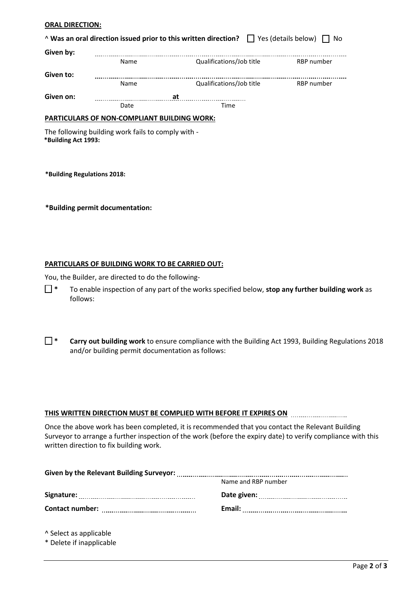#### **ORAL DIRECTION:**

| A Was an oral direction issued prior to this written direction?   Yes (details below) $\Box$<br>No |      |                          |            |  |  |
|----------------------------------------------------------------------------------------------------|------|--------------------------|------------|--|--|
| Given by:                                                                                          |      |                          |            |  |  |
|                                                                                                    | Name | Qualifications/Job title | RBP number |  |  |
| Given to:                                                                                          |      |                          |            |  |  |
|                                                                                                    | Name | Qualifications/Job title | RBP number |  |  |
| Given on:                                                                                          |      | at                       |            |  |  |
|                                                                                                    | Date | Time                     |            |  |  |
| <b>PARTICULARS OF NON-COMPLIANT BUILDING WORK:</b>                                                 |      |                          |            |  |  |
| The following building work fails to comply with -<br>*Building Act 1993:                          |      |                          |            |  |  |

**\*Building Regulations 2018:**

**\*Building permit documentation:**

#### **PARTICULARS OF BUILDING WORK TO BE CARRIED OUT:**

You, the Builder, are directed to do the following-

- ☐ **\*** To enable inspection of any part of the works specified below, **stop any further building work** as follows:
- ☐ **\* Carry out building work** to ensure compliance with the Building Act 1993, Building Regulations 2018 and/or building permit documentation as follows:

#### **THIS WRITTEN DIRECTION MUST BE COMPLIED WITH BEFORE IT EXPIRES ON**

Once the above work has been completed, it is recommended that you contact the Relevant Building Surveyor to arrange a further inspection of the work (before the expiry date) to verify compliance with this written direction to fix building work.

| <b>Given by the Relevant Building Surveyor:</b> |                     |  |  |  |
|-------------------------------------------------|---------------------|--|--|--|
|                                                 | Name and RBP number |  |  |  |
| Signature:                                      | Date given:         |  |  |  |
| <b>Contact number:</b>                          | Email:              |  |  |  |

^ Select as applicable

\* Delete if inapplicable